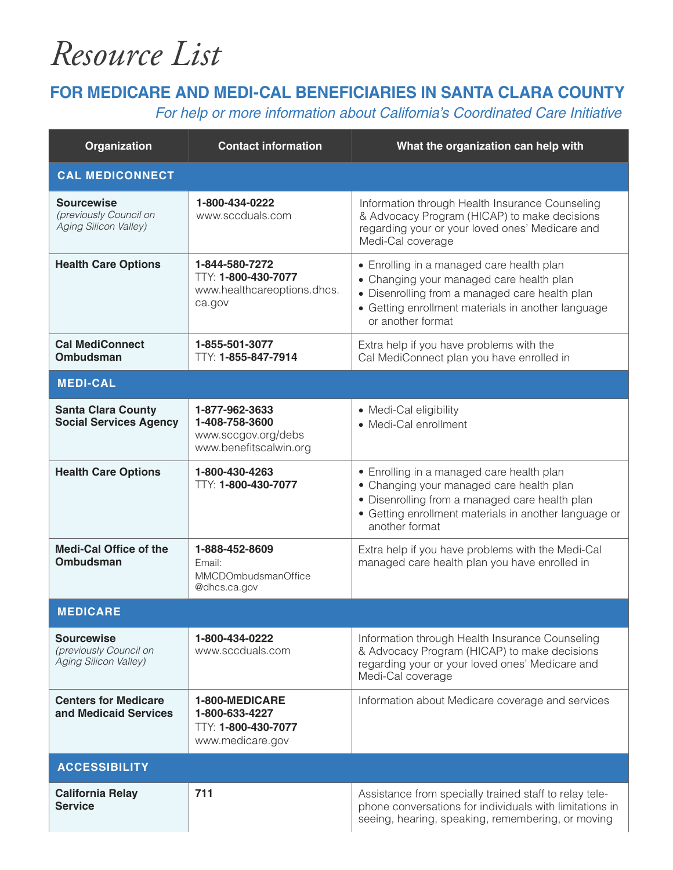## *Resource List*

## **FOR MEDICARE AND MEDI-CAL BENEFICIARIES IN SANTA CLARA COUNTY**

For help or more information about California's Coordinated Care Initiative

| Organization                                                         | <b>Contact information</b>                                                        | What the organization can help with                                                                                                                                                                                |  |
|----------------------------------------------------------------------|-----------------------------------------------------------------------------------|--------------------------------------------------------------------------------------------------------------------------------------------------------------------------------------------------------------------|--|
| <b>CAL MEDICONNECT</b>                                               |                                                                                   |                                                                                                                                                                                                                    |  |
| <b>Sourcewise</b><br>(previously Council on<br>Aging Silicon Valley) | 1-800-434-0222<br>www.sccduals.com                                                | Information through Health Insurance Counseling<br>& Advocacy Program (HICAP) to make decisions<br>regarding your or your loved ones' Medicare and<br>Medi-Cal coverage                                            |  |
| <b>Health Care Options</b>                                           | 1-844-580-7272<br>TTY: 1-800-430-7077<br>www.healthcareoptions.dhcs.<br>ca.gov    | • Enrolling in a managed care health plan<br>• Changing your managed care health plan<br>• Disenrolling from a managed care health plan<br>• Getting enrollment materials in another language<br>or another format |  |
| <b>Cal MediConnect</b><br><b>Ombudsman</b>                           | 1-855-501-3077<br>TTY: 1-855-847-7914                                             | Extra help if you have problems with the<br>Cal MediConnect plan you have enrolled in                                                                                                                              |  |
| <b>MEDI-CAL</b>                                                      |                                                                                   |                                                                                                                                                                                                                    |  |
| <b>Santa Clara County</b><br><b>Social Services Agency</b>           | 1-877-962-3633<br>1-408-758-3600<br>www.sccgov.org/debs<br>www.benefitscalwin.org | • Medi-Cal eligibility<br>• Medi-Cal enrollment                                                                                                                                                                    |  |
| <b>Health Care Options</b>                                           | 1-800-430-4263<br>TTY: 1-800-430-7077                                             | • Enrolling in a managed care health plan<br>• Changing your managed care health plan<br>• Disenrolling from a managed care health plan<br>• Getting enrollment materials in another language or<br>another format |  |
| <b>Medi-Cal Office of the</b><br><b>Ombudsman</b>                    | 1-888-452-8609<br>Email:<br>MMCDOmbudsmanOffice<br>@dhcs.ca.gov                   | Extra help if you have problems with the Medi-Cal<br>managed care health plan you have enrolled in                                                                                                                 |  |
| <b>MEDICARE</b>                                                      |                                                                                   |                                                                                                                                                                                                                    |  |
| <b>Sourcewise</b><br>(previously Council on<br>Aging Silicon Valley) | 1-800-434-0222<br>www.sccduals.com                                                | Information through Health Insurance Counseling<br>& Advocacy Program (HICAP) to make decisions<br>regarding your or your loved ones' Medicare and<br>Medi-Cal coverage                                            |  |
| <b>Centers for Medicare</b><br>and Medicaid Services                 | 1-800-MEDICARE<br>1-800-633-4227<br>TTY: 1-800-430-7077<br>www.medicare.gov       | Information about Medicare coverage and services                                                                                                                                                                   |  |
| <b>ACCESSIBILITY</b>                                                 |                                                                                   |                                                                                                                                                                                                                    |  |
| <b>California Relay</b><br><b>Service</b>                            | 711                                                                               | Assistance from specially trained staff to relay tele-<br>phone conversations for individuals with limitations in<br>seeing, hearing, speaking, remembering, or moving                                             |  |